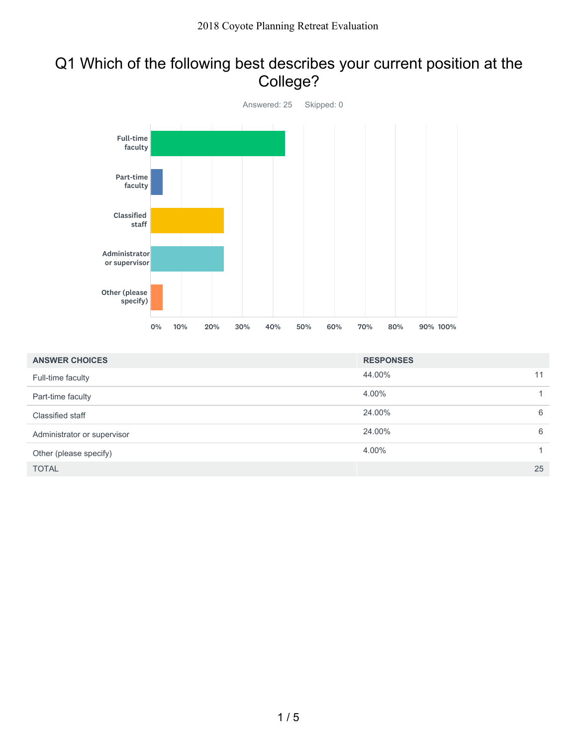### Q1 Which of the following best describes your current position at the College?



| <b>ANSWER CHOICES</b>       | <b>RESPONSES</b> |    |
|-----------------------------|------------------|----|
| Full-time faculty           | 44.00%           | 11 |
| Part-time faculty           | 4.00%            |    |
| Classified staff            | 24.00%           | 6  |
| Administrator or supervisor | 24.00%           | 6  |
| Other (please specify)      | 4.00%            | 1. |
| <b>TOTAL</b>                |                  | 25 |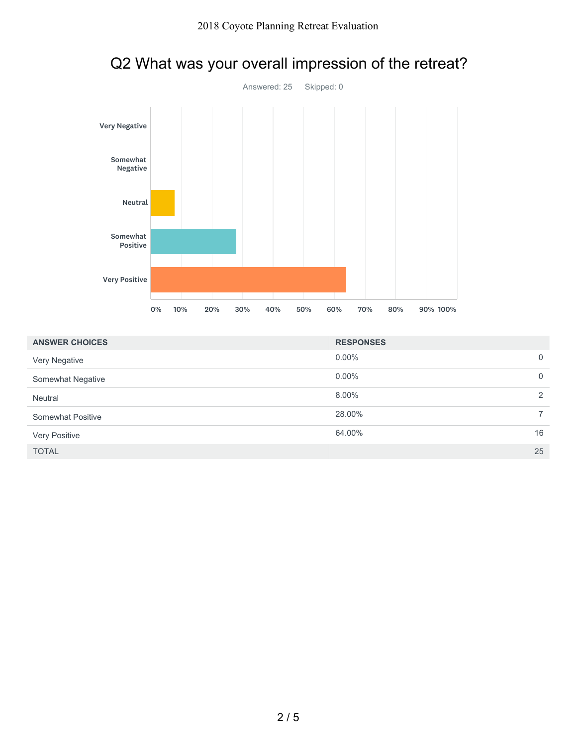

# Q2 What was your overall impression of the retreat?

| <b>ANSWER CHOICES</b> | <b>RESPONSES</b> |             |
|-----------------------|------------------|-------------|
| Very Negative         | $0.00\%$         | $\mathbf 0$ |
| Somewhat Negative     | $0.00\%$         | $\Omega$    |
| Neutral               | 8.00%            | 2           |
| Somewhat Positive     | 28.00%           |             |
| Very Positive         | 64.00%           | 16          |
| <b>TOTAL</b>          |                  | 25          |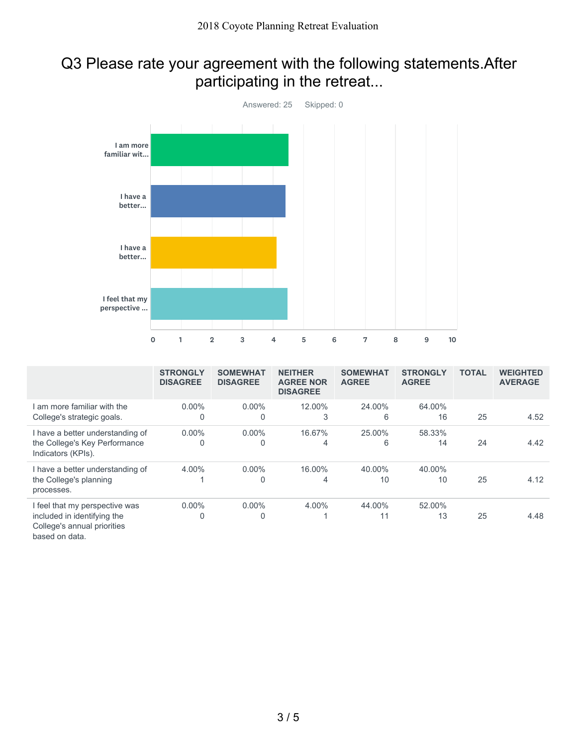### Q3 Please rate your agreement with the following statements.After participating in the retreat...



|                                                                                              | <b>STRONGLY</b><br><b>DISAGREE</b> | <b>SOMEWHAT</b><br><b>DISAGREE</b> | <b>NEITHER</b><br><b>AGREE NOR</b><br><b>DISAGREE</b> | <b>SOMEWHAT</b><br><b>AGREE</b> | <b>STRONGLY</b><br><b>AGREE</b> | <b>TOTAL</b> | <b>WEIGHTED</b><br><b>AVERAGE</b> |
|----------------------------------------------------------------------------------------------|------------------------------------|------------------------------------|-------------------------------------------------------|---------------------------------|---------------------------------|--------------|-----------------------------------|
| I am more familiar with the<br>College's strategic goals.                                    | $0.00\%$<br>0                      | $0.00\%$                           | 12.00%                                                | 24.00%<br>6                     | 64.00%<br>16                    | 25           | 4.52                              |
| I have a better understanding of<br>the College's Key Performance<br>Indicators (KPIs).      | $0.00\%$<br>0                      | $0.00\%$                           | 16.67%<br>4                                           | 25.00%<br>6                     | 58.33%<br>14                    | 24           | 4.42                              |
| I have a better understanding of<br>the College's planning<br>processes.                     | 4.00%                              | $0.00\%$                           | 16.00%<br>4                                           | 40.00%<br>10                    | 40.00%<br>10                    | 25           | 4.12                              |
| I feel that my perspective was<br>included in identifying the<br>College's annual priorities | $0.00\%$<br>0                      | $0.00\%$<br>0                      | 4.00%                                                 | 44.00%<br>11                    | 52.00%<br>13                    | 25           | 4.48                              |

based on data.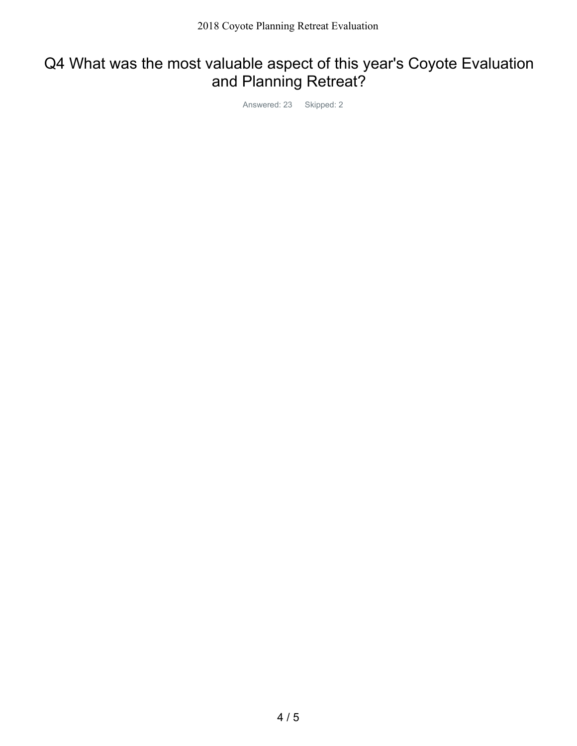## Q4 What was the most valuable aspect of this year's Coyote Evaluation and Planning Retreat?

Answered: 23 Skipped: 2